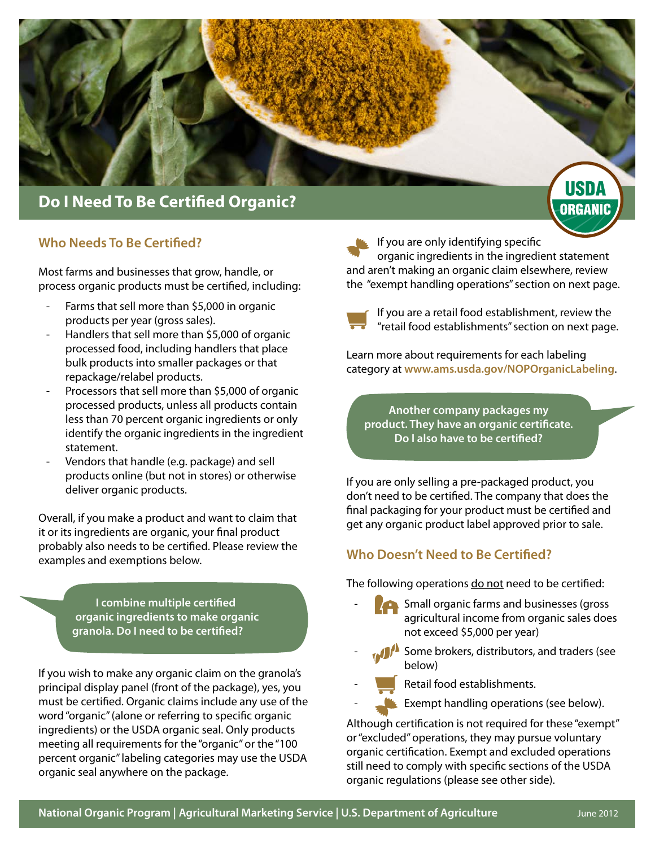

#### **Who Needs To Be Certified?**

Most farms and businesses that grow, handle, or process organic products must be certified, including:

- Farms that sell more than \$5,000 in organic products per year (gross sales).
- Handlers that sell more than \$5,000 of organic processed food, including handlers that place bulk products into smaller packages or that repackage/relabel products.
- Processors that sell more than \$5,000 of organic processed products, unless all products contain less than 70 percent organic ingredients or only identify the organic ingredients in the ingredient statement.
- Vendors that handle (e.g. package) and sell products online (but not in stores) or otherwise deliver organic products.

Overall, if you make a product and want to claim that it or its ingredients are organic, your final product probably also needs to be certified. Please review the examples and exemptions below.

> **I combine multiple certified organic ingredients to make organic granola. Do I need to be certified?**

If you wish to make any organic claim on the granola's principal display panel (front of the package), yes, you must be certified. Organic claims include any use of the word "organic" (alone or referring to specific organic ingredients) or the USDA organic seal. Only products meeting all requirements for the "organic" or the "100 percent organic" labeling categories may use the USDA organic seal anywhere on the package.

If you are only identifying specific organic ingredients in the ingredient statement and aren't making an organic claim elsewhere, review the "exempt handling operations" section on next page.



If you are a retail food establishment, review the "retail food establishments" section on next page.

Learn more about requirements for each labeling category at **www.ams.usda.gov/NOPOrganicLabeling**.

**Another company packages my product. They have an organic certificate. Do I also have to be certified?**

If you are only selling a pre-packaged product, you don't need to be certified. The company that does the final packaging for your product must be certified and get any organic product label approved prior to sale.

#### **Who Doesn't Need to Be Certified?**

The following operations do not need to be certified:

- **Small organic farms and businesses (gross**) agricultural income from organic sales does not exceed \$5,000 per year)
- Some brokers, distributors, and traders (see below)
- Retail food establishments.
	- Exempt handling operations (see below).

Although certification is not required for these "exempt" or "excluded" operations, they may pursue voluntary organic certification. Exempt and excluded operations still need to comply with specific sections of the USDA organic regulations (please see other side).